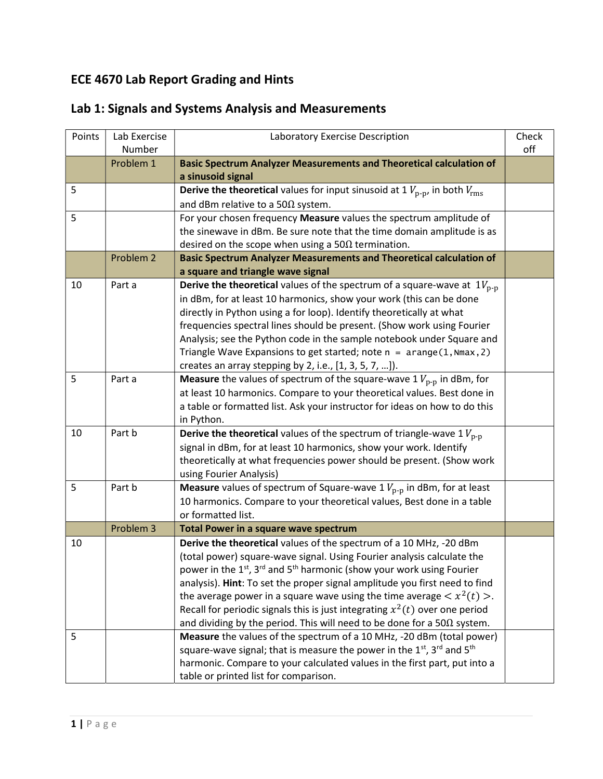## ECE 4670 Lab Report Grading and Hints

| Points | Lab Exercise<br>Number | Laboratory Exercise Description                                                                           | Check<br>off |
|--------|------------------------|-----------------------------------------------------------------------------------------------------------|--------------|
|        | Problem 1              | <b>Basic Spectrum Analyzer Measurements and Theoretical calculation of</b>                                |              |
|        |                        | a sinusoid signal                                                                                         |              |
| 5      |                        | <b>Derive the theoretical</b> values for input sinusoid at 1 $V_{\text{p-p}}$ , in both $V_{\text{rms}}$  |              |
|        |                        | and dBm relative to a 50 $\Omega$ system.                                                                 |              |
| 5      |                        | For your chosen frequency Measure values the spectrum amplitude of                                        |              |
|        |                        | the sinewave in dBm. Be sure note that the time domain amplitude is as                                    |              |
|        |                        | desired on the scope when using a $50\Omega$ termination.                                                 |              |
|        | Problem 2              | <b>Basic Spectrum Analyzer Measurements and Theoretical calculation of</b>                                |              |
|        |                        | a square and triangle wave signal                                                                         |              |
| 10     | Part a                 | <b>Derive the theoretical</b> values of the spectrum of a square-wave at $1V_{\text{p-p}}$                |              |
|        |                        | in dBm, for at least 10 harmonics, show your work (this can be done                                       |              |
|        |                        | directly in Python using a for loop). Identify theoretically at what                                      |              |
|        |                        | frequencies spectral lines should be present. (Show work using Fourier                                    |              |
|        |                        | Analysis; see the Python code in the sample notebook under Square and                                     |              |
|        |                        | Triangle Wave Expansions to get started; note $n = arange(1, Nmax, 2)$                                    |              |
|        |                        | creates an array stepping by 2, i.e., [1, 3, 5, 7, ]).                                                    |              |
| 5      | Part a                 | <b>Measure</b> the values of spectrum of the square-wave 1 $V_{p-p}$ in dBm, for                          |              |
|        |                        | at least 10 harmonics. Compare to your theoretical values. Best done in                                   |              |
|        |                        | a table or formatted list. Ask your instructor for ideas on how to do this                                |              |
|        |                        | in Python.                                                                                                |              |
| 10     | Part b                 | <b>Derive the theoretical</b> values of the spectrum of triangle-wave 1 $V_{\text{p-p}}$                  |              |
|        |                        | signal in dBm, for at least 10 harmonics, show your work. Identify                                        |              |
|        |                        | theoretically at what frequencies power should be present. (Show work                                     |              |
|        |                        | using Fourier Analysis)                                                                                   |              |
| 5      | Part b                 | <b>Measure</b> values of spectrum of Square-wave 1 $V_{p-p}$ in dBm, for at least                         |              |
|        |                        | 10 harmonics. Compare to your theoretical values, Best done in a table                                    |              |
|        |                        | or formatted list.                                                                                        |              |
|        | Problem 3              | Total Power in a square wave spectrum                                                                     |              |
| 10     |                        | Derive the theoretical values of the spectrum of a 10 MHz, -20 dBm                                        |              |
|        |                        | (total power) square-wave signal. Using Fourier analysis calculate the                                    |              |
|        |                        | power in the 1 <sup>st</sup> , 3 <sup>rd</sup> and 5 <sup>th</sup> harmonic (show your work using Fourier |              |
|        |                        | analysis). Hint: To set the proper signal amplitude you first need to find                                |              |
|        |                        | the average power in a square wave using the time average $\langle x^2(t) \rangle$ .                      |              |
|        |                        | Recall for periodic signals this is just integrating $x^2(t)$ over one period                             |              |
|        |                        | and dividing by the period. This will need to be done for a 50 $\Omega$ system.                           |              |
| 5      |                        | Measure the values of the spectrum of a 10 MHz, -20 dBm (total power)                                     |              |
|        |                        | square-wave signal; that is measure the power in the $1st$ , $3rd$ and $5th$                              |              |
|        |                        | harmonic. Compare to your calculated values in the first part, put into a                                 |              |
|        |                        | table or printed list for comparison.                                                                     |              |

## Lab 1: Signals and Systems Analysis and Measurements